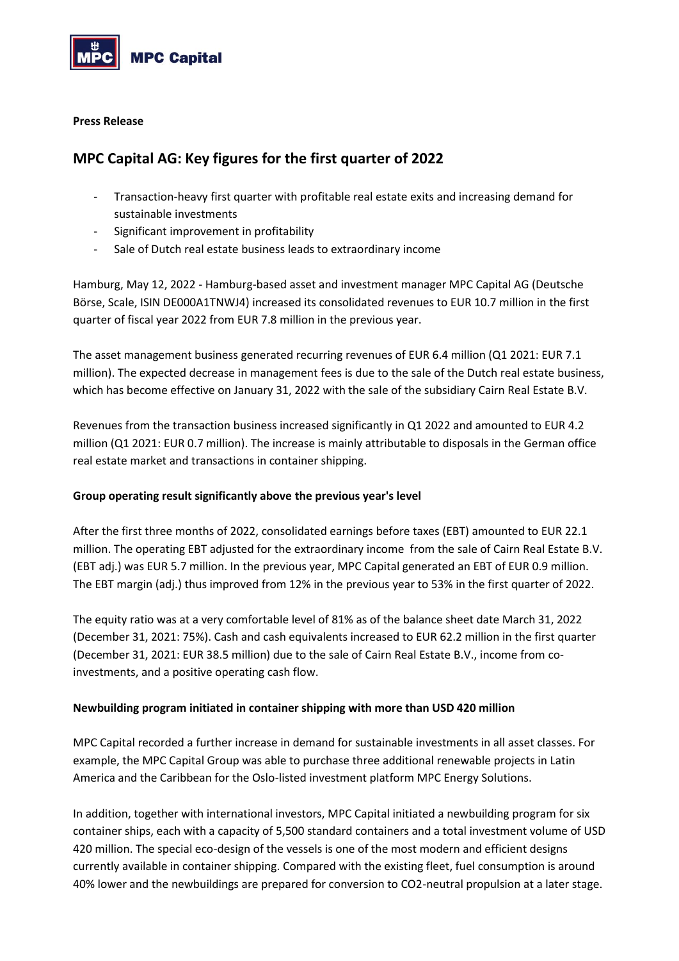

### **Press Release**

# **MPC Capital AG: Key figures for the first quarter of 2022**

- Transaction-heavy first quarter with profitable real estate exits and increasing demand for sustainable investments
- Significant improvement in profitability
- Sale of Dutch real estate business leads to extraordinary income

Hamburg, May 12, 2022 - Hamburg-based asset and investment manager MPC Capital AG (Deutsche Börse, Scale, ISIN DE000A1TNWJ4) increased its consolidated revenues to EUR 10.7 million in the first quarter of fiscal year 2022 from EUR 7.8 million in the previous year.

The asset management business generated recurring revenues of EUR 6.4 million (Q1 2021: EUR 7.1 million). The expected decrease in management fees is due to the sale of the Dutch real estate business, which has become effective on January 31, 2022 with the sale of the subsidiary Cairn Real Estate B.V.

Revenues from the transaction business increased significantly in Q1 2022 and amounted to EUR 4.2 million (Q1 2021: EUR 0.7 million). The increase is mainly attributable to disposals in the German office real estate market and transactions in container shipping.

# **Group operating result significantly above the previous year's level**

After the first three months of 2022, consolidated earnings before taxes (EBT) amounted to EUR 22.1 million. The operating EBT adjusted for the extraordinary income from the sale of Cairn Real Estate B.V. (EBT adj.) was EUR 5.7 million. In the previous year, MPC Capital generated an EBT of EUR 0.9 million. The EBT margin (adj.) thus improved from 12% in the previous year to 53% in the first quarter of 2022.

The equity ratio was at a very comfortable level of 81% as of the balance sheet date March 31, 2022 (December 31, 2021: 75%). Cash and cash equivalents increased to EUR 62.2 million in the first quarter (December 31, 2021: EUR 38.5 million) due to the sale of Cairn Real Estate B.V., income from coinvestments, and a positive operating cash flow.

# **Newbuilding program initiated in container shipping with more than USD 420 million**

MPC Capital recorded a further increase in demand for sustainable investments in all asset classes. For example, the MPC Capital Group was able to purchase three additional renewable projects in Latin America and the Caribbean for the Oslo-listed investment platform MPC Energy Solutions.

In addition, together with international investors, MPC Capital initiated a newbuilding program for six container ships, each with a capacity of 5,500 standard containers and a total investment volume of USD 420 million. The special eco-design of the vessels is one of the most modern and efficient designs currently available in container shipping. Compared with the existing fleet, fuel consumption is around 40% lower and the newbuildings are prepared for conversion to CO2-neutral propulsion at a later stage.